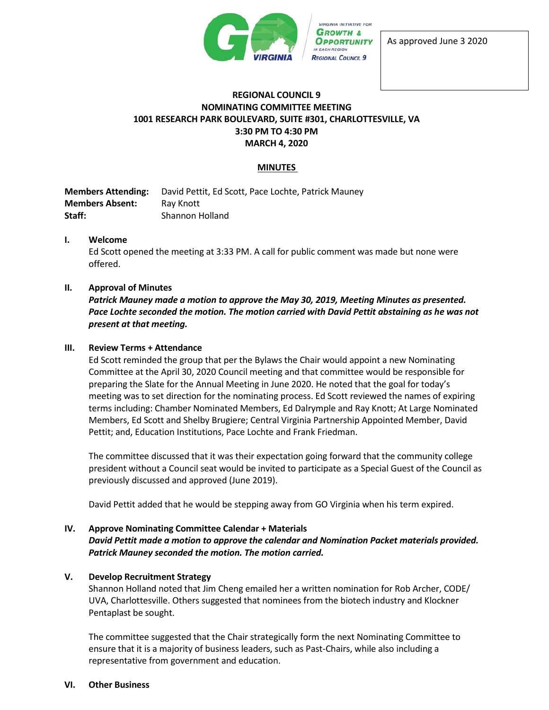

As approved June 3 2020

### **REGIONAL COUNCIL 9 NOMINATING COMMITTEE MEETING 1001 RESEARCH PARK BOULEVARD, SUITE #301, CHARLOTTESVILLE, VA 3:30 PM TO 4:30 PM MARCH 4, 2020**

## **MINUTES**

**Members Attending:** David Pettit, Ed Scott, Pace Lochte, Patrick Mauney **Members Absent:** Ray Knott **Staff:** Shannon Holland

#### **I. Welcome**

Ed Scott opened the meeting at 3:33 PM. A call for public comment was made but none were offered.

#### **II. Approval of Minutes**

*Patrick Mauney made a motion to approve the May 30, 2019, Meeting Minutes as presented. Pace Lochte seconded the motion. The motion carried with David Pettit abstaining as he was not present at that meeting.*

#### **III. Review Terms + Attendance**

Ed Scott reminded the group that per the Bylaws the Chair would appoint a new Nominating Committee at the April 30, 2020 Council meeting and that committee would be responsible for preparing the Slate for the Annual Meeting in June 2020. He noted that the goal for today's meeting was to set direction for the nominating process. Ed Scott reviewed the names of expiring terms including: Chamber Nominated Members, Ed Dalrymple and Ray Knott; At Large Nominated Members, Ed Scott and Shelby Brugiere; Central Virginia Partnership Appointed Member, David Pettit; and, Education Institutions, Pace Lochte and Frank Friedman.

The committee discussed that it was their expectation going forward that the community college president without a Council seat would be invited to participate as a Special Guest of the Council as previously discussed and approved (June 2019).

David Pettit added that he would be stepping away from GO Virginia when his term expired.

## **IV. Approve Nominating Committee Calendar + Materials** *David Pettit made a motion to approve the calendar and Nomination Packet materials provided. Patrick Mauney seconded the motion. The motion carried.*

#### **V. Develop Recruitment Strategy**

Shannon Holland noted that Jim Cheng emailed her a written nomination for Rob Archer, CODE/ UVA, Charlottesville. Others suggested that nominees from the biotech industry and Klockner Pentaplast be sought.

The committee suggested that the Chair strategically form the next Nominating Committee to ensure that it is a majority of business leaders, such as Past-Chairs, while also including a representative from government and education.

#### **VI. Other Business**